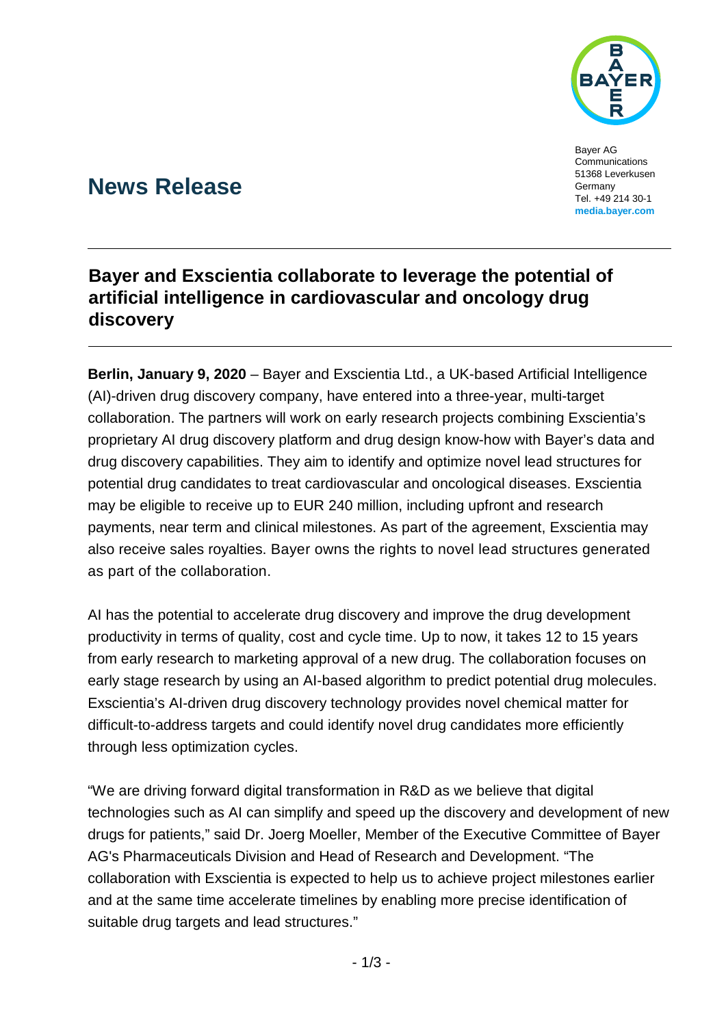

Bayer AG Communications 51368 Leverkusen Germany Tel. +49 214 30-1 **media.bayer.com**

# **News Release**

# **Bayer and Exscientia collaborate to leverage the potential of artificial intelligence in cardiovascular and oncology drug discovery**

**Berlin, January 9, 2020** – Bayer and Exscientia Ltd., a UK-based Artificial Intelligence (AI)-driven drug discovery company, have entered into a three-year, multi-target collaboration. The partners will work on early research projects combining Exscientia's proprietary AI drug discovery platform and drug design know-how with Bayer's data and drug discovery capabilities. They aim to identify and optimize novel lead structures for potential drug candidates to treat cardiovascular and oncological diseases. Exscientia may be eligible to receive up to EUR 240 million, including upfront and research payments, near term and clinical milestones. As part of the agreement, Exscientia may also receive sales royalties. Bayer owns the rights to novel lead structures generated as part of the collaboration.

AI has the potential to accelerate drug discovery and improve the drug development productivity in terms of quality, cost and cycle time. Up to now, it takes 12 to 15 years from early research to marketing approval of a new drug. The collaboration focuses on early stage research by using an AI-based algorithm to predict potential drug molecules. Exscientia's AI-driven drug discovery technology provides novel chemical matter for difficult-to-address targets and could identify novel drug candidates more efficiently through less optimization cycles.

"We are driving forward digital transformation in R&D as we believe that digital technologies such as AI can simplify and speed up the discovery and development of new drugs for patients," said Dr. Joerg Moeller, Member of the Executive Committee of Bayer AG's Pharmaceuticals Division and Head of Research and Development. "The collaboration with Exscientia is expected to help us to achieve project milestones earlier and at the same time accelerate timelines by enabling more precise identification of suitable drug targets and lead structures."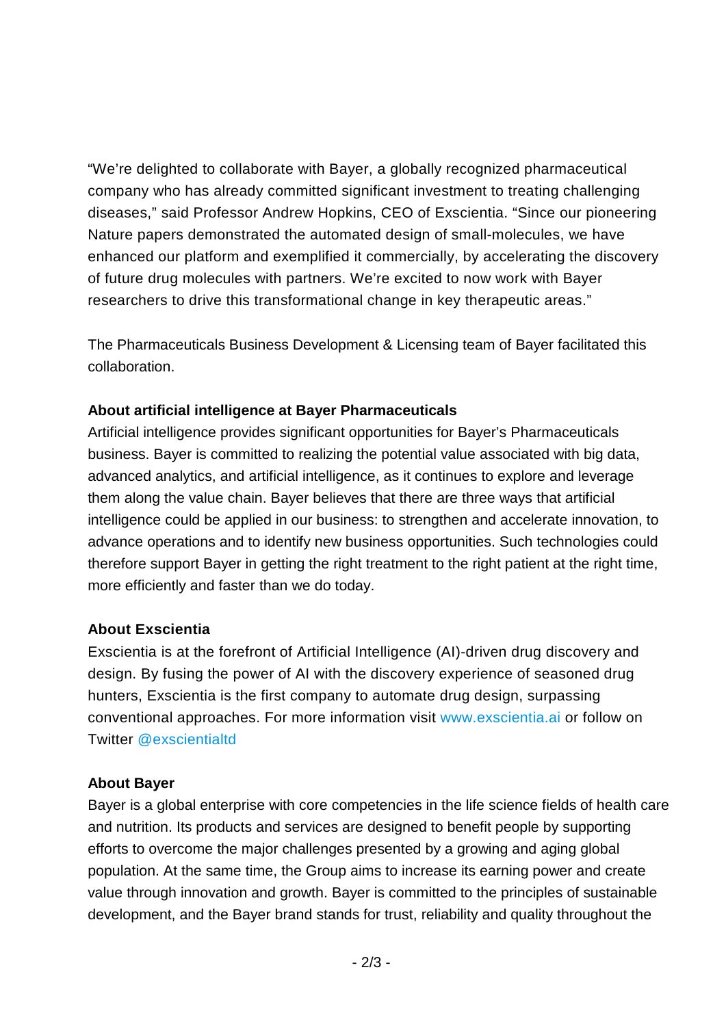"We're delighted to collaborate with Bayer, a globally recognized pharmaceutical company who has already committed significant investment to treating challenging diseases," said Professor Andrew Hopkins, CEO of Exscientia. "Since our pioneering Nature papers demonstrated the automated design of small-molecules, we have enhanced our platform and exemplified it commercially, by accelerating the discovery of future drug molecules with partners. We're excited to now work with Bayer researchers to drive this transformational change in key therapeutic areas."

The Pharmaceuticals Business Development & Licensing team of Bayer facilitated this collaboration.

## **About artificial intelligence at Bayer Pharmaceuticals**

Artificial intelligence provides significant opportunities for Bayer's Pharmaceuticals business. Bayer is committed to realizing the potential value associated with big data, advanced analytics, and artificial intelligence, as it continues to explore and leverage them along the value chain. Bayer believes that there are three ways that artificial intelligence could be applied in our business: to strengthen and accelerate innovation, to advance operations and to identify new business opportunities. Such technologies could therefore support Bayer in getting the right treatment to the right patient at the right time, more efficiently and faster than we do today.

#### **About Exscientia**

Exscientia is at the forefront of Artificial Intelligence (AI)-driven drug discovery and design. By fusing the power of AI with the discovery experience of seasoned drug hunters, Exscientia is the first company to automate drug design, surpassing conventional approaches. For more information visit [www.exscientia.ai](http://www.exscientia.ai/) or follow on Twitter [@exscientialtd](http://www.twitter.com/exscientialtd)

#### **About Bayer**

Bayer is a global enterprise with core competencies in the life science fields of health care and nutrition. Its products and services are designed to benefit people by supporting efforts to overcome the major challenges presented by a growing and aging global population. At the same time, the Group aims to increase its earning power and create value through innovation and growth. Bayer is committed to the principles of sustainable development, and the Bayer brand stands for trust, reliability and quality throughout the